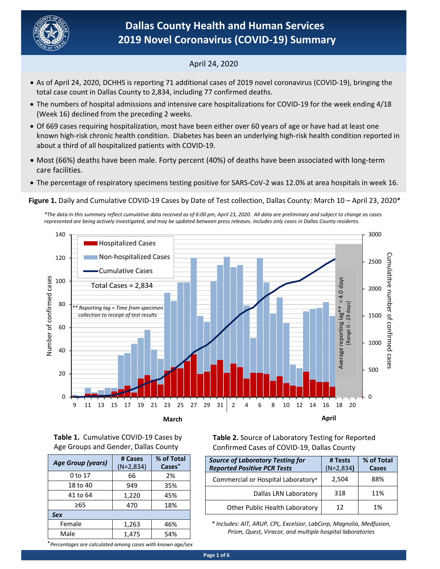

## April 24, 2020

- total case count in Dallas County to 2,834, including 77 confirmed deaths. As of April 24, 2020, DCHHS is reporting 71 additional cases of 2019 novel coronavirus (COVID‐19), bringing the
- The numbers of hospital admissions and intensive care hospitalizations for COVID‐19 for the week ending 4/18 (Week 16) declined from the preceding 2 weeks.
- Of 669 cases requiring hospitalization, most have been either over 60 years of age or have had at least one known high‐risk chronic health condition. Diabetes has been an underlying high‐risk health condition reported in about a third of all hospitalized patients with COVID‐19.
- Most (66%) deaths have been male. Forty percent (40%) of deaths have been associated with long‐term care facilities.
- The percentage of respiratory specimens testing positive for SARS‐CoV‐2 was 12.0% at area hospitals in week 16.

Figure 1. Daily and Cumulative COVID-19 Cases by Date of Test collection, Dallas County: March 10 – April 23, 2020<sup>\*</sup>

*\*The data in this summary reflect cumulative data received as of 6:00 pm, April 23, 2020. All data are preliminary and subject to change as cases represented are being actively investigated, and may be updated between press releases. Includes only cases in Dallas County residents.* 



**Table 1.**  Cumulative COVID‐19 Cases by Age Groups and Gender, Dallas County

| Table 2. Source of Laboratory Testing for Reported |
|----------------------------------------------------|
| Confirmed Cases of COVID-19, Dallas County         |

| <b>Source of Laboratory Testing for</b><br><b>Reported Positive PCR Tests</b> | # Tests<br>$(N=2,834)$ | % of Total<br>Cases |
|-------------------------------------------------------------------------------|------------------------|---------------------|
| Commercial or Hospital Laboratory*                                            | 2,504                  | 88%                 |
| Dallas LRN Laboratory                                                         | 318                    | 11%                 |
| Other Public Health Laboratory                                                | 12                     | 1%                  |

*\* Includes: AIT, ARUP, CPL, Excelsior, LabCorp, Magnolia, Medfusion, Prism, Quest, Viracor, and multiple hospital laboratories* 

| Age Group (years) | # Cases<br>$(N=2,834)$ | % of Total<br>Cases <sup>+</sup> |
|-------------------|------------------------|----------------------------------|
| 0 to 17           | 66                     | 2%                               |
| 18 to 40          | 949                    | 35%                              |
| 41 to 64          | 1,220                  | 45%                              |
| ≥65               | 470                    | 18%                              |
| <b>Sex</b>        |                        |                                  |
| Female            | 1,263                  | 46%                              |
| Male              | 1,475                  | 54%                              |

⁺*Percentages are calculated among cases with known age/sex*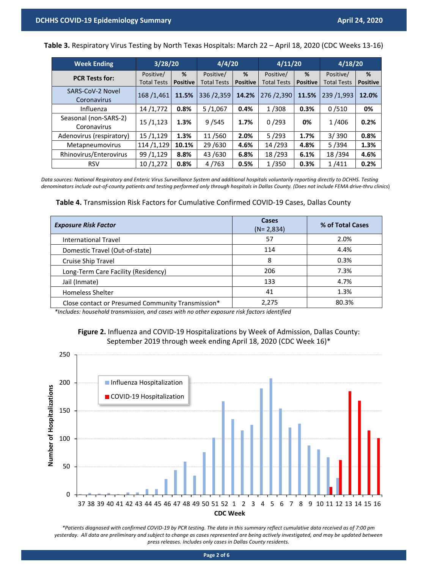**Table 3.** Respiratory Virus Testing by North Texas Hospitals: March 22 – April 18, 2020 (CDC Weeks 13‐16)

| <b>Week Ending</b>                   | 3/28/20                         |                      | 4/4/20                          |                      | 4/11/20                         |                      | 4/18/20                         |                      |  |
|--------------------------------------|---------------------------------|----------------------|---------------------------------|----------------------|---------------------------------|----------------------|---------------------------------|----------------------|--|
| <b>PCR Tests for:</b>                | Positive/<br><b>Total Tests</b> | %<br><b>Positive</b> | Positive/<br><b>Total Tests</b> | %<br><b>Positive</b> | Positive/<br><b>Total Tests</b> | %<br><b>Positive</b> | Positive/<br><b>Total Tests</b> | %<br><b>Positive</b> |  |
| SARS-CoV-2 Novel<br>Coronavirus      | 168/1,461                       | 11.5%                | 336/2,359                       | 14.2%                | 276/2,390                       | 11.5%                | 239 /1,993                      | 12.0%                |  |
| Influenza                            | 14/1,772                        | 0.8%                 | 5/1,067                         | 0.4%                 | 1/308                           | 0.3%                 | 0/510                           | 0%                   |  |
| Seasonal (non-SARS-2)<br>Coronavirus | 15/1,123                        | 1.3%                 | 9/545                           | 1.7%                 | 0/293                           | 0%                   | 1/406                           | 0.2%                 |  |
| Adenovirus (respiratory)             | 15/1,129                        | 1.3%                 | 11/560                          | 2.0%                 | 5/293                           | 1.7%                 | 3/390                           | 0.8%                 |  |
| Metapneumovirus                      | 114 /1,129                      | 10.1%                | 29/630                          | 4.6%                 | 14/293                          | 4.8%                 | 5/394                           | 1.3%                 |  |
| Rhinovirus/Enterovirus               | 99 /1,129                       | 8.8%                 | 43/630                          | 6.8%                 | 18/293                          | 6.1%                 | 18/394                          | 4.6%                 |  |
| <b>RSV</b>                           | 10/1,272                        | 0.8%                 | 4/763                           | 0.5%                 | 1/350                           | 0.3%                 | 1/411                           | 0.2%                 |  |

*Data sources: National Respiratory and Enteric Virus Surveillance System and additional hospitals voluntarily reporting directly to DCHHS. Testing denominators include out‐of‐county patients and testing performed only through hospitals in Dallas County. (Does not include FEMA drive‐thru clinics*)

**Table 4.** Transmission Risk Factors for Cumulative Confirmed COVID‐19 Cases, Dallas County

| <b>Exposure Risk Factor</b>                       | Cases<br>$(N=2,834)$ | % of Total Cases |
|---------------------------------------------------|----------------------|------------------|
| <b>International Travel</b>                       | 57                   | 2.0%             |
| Domestic Travel (Out-of-state)                    | 114                  | 4.4%             |
| Cruise Ship Travel                                | ጸ                    | 0.3%             |
| Long-Term Care Facility (Residency)               | 206                  | 7.3%             |
| Jail (Inmate)                                     | 133                  | 4.7%             |
| <b>Homeless Shelter</b>                           | 41                   | 1.3%             |
| Close contact or Presumed Community Transmission* | 2,275                | 80.3%            |

*\*Includes: household transmission, and cases with no other exposure risk factors identified*





*\*Patients diagnosed with confirmed COVID‐19 by PCR testing. The data in this summary reflect cumulative data received as of 7:00 pm yesterday. All data are preliminary and subject to change as cases represented are being actively investigated, and may be updated between press releases. Includes only cases in Dallas County residents.*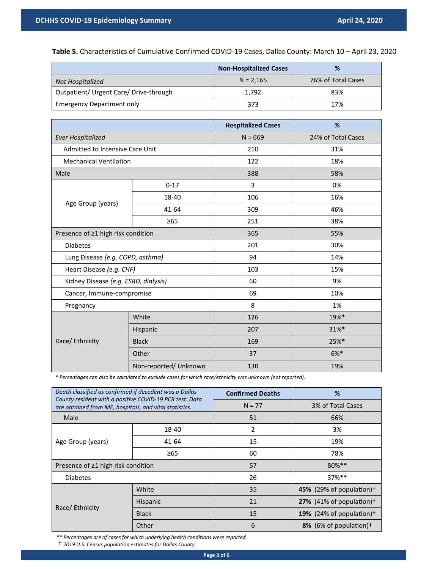**Table 5.** Characteristics of Cumulative Confirmed COVID‐19 Cases, Dallas County: March 10 – April 23, 2020

|                                        | <b>Non-Hospitalized Cases</b> | %                  |
|----------------------------------------|-------------------------------|--------------------|
| Not Hospitalized                       | $N = 2.165$                   | 76% of Total Cases |
| Outpatient/ Urgent Care/ Drive-through | 1.792                         | 83%                |
| <b>Emergency Department only</b>       | 373                           | 17%                |

|                                      |                       | <b>Hospitalized Cases</b> | %                  |  |  |
|--------------------------------------|-----------------------|---------------------------|--------------------|--|--|
| <b>Ever Hospitalized</b>             |                       | $N = 669$                 | 24% of Total Cases |  |  |
| Admitted to Intensive Care Unit      |                       | 210                       | 31%                |  |  |
| <b>Mechanical Ventilation</b>        |                       | 122                       | 18%                |  |  |
| Male                                 |                       | 388                       | 58%                |  |  |
|                                      | $0 - 17$              | 3                         | 0%                 |  |  |
| Age Group (years)                    | 18-40                 | 106                       | 16%                |  |  |
|                                      | 41-64                 | 309                       | 46%                |  |  |
|                                      | $\geq 65$             | 251                       | 38%                |  |  |
| Presence of ≥1 high risk condition   |                       | 365                       | 55%                |  |  |
| <b>Diabetes</b>                      |                       | 201                       | 30%                |  |  |
| Lung Disease (e.g. COPD, asthma)     |                       | 94                        | 14%                |  |  |
| Heart Disease (e.g. CHF)             |                       | 103                       | 15%                |  |  |
| Kidney Disease (e.g. ESRD, dialysis) |                       | 60                        | 9%                 |  |  |
| Cancer, Immune-compromise            |                       | 69                        | 10%                |  |  |
| Pregnancy                            |                       | 8                         | 1%                 |  |  |
|                                      | White                 | 126                       | 19%*               |  |  |
|                                      | Hispanic              | 207                       | 31%*               |  |  |
| Race/ Ethnicity                      | <b>Black</b>          | 169                       | 25%*               |  |  |
|                                      | Other                 | 37                        | $6%*$              |  |  |
|                                      | Non-reported/ Unknown | 130                       | 19%                |  |  |

*\* Percentages can also be calculated to exclude cases for which race/ethnicity was unknown (not reported).*

| Death classified as confirmed if decedent was a Dallas                                                            |                 | <b>Confirmed Deaths</b> | %                                    |  |  |
|-------------------------------------------------------------------------------------------------------------------|-----------------|-------------------------|--------------------------------------|--|--|
| County resident with a positive COVID-19 PCR test. Data<br>are obtained from ME, hospitals, and vital statistics. |                 | $N = 77$                | 3% of Total Cases                    |  |  |
| Male                                                                                                              |                 | 51                      | 66%                                  |  |  |
|                                                                                                                   | 18-40           | 2                       | 3%                                   |  |  |
| Age Group (years)                                                                                                 | 41-64           | 15                      | 19%                                  |  |  |
|                                                                                                                   | $\geq 65$       | 60                      | 78%                                  |  |  |
| Presence of ≥1 high risk condition                                                                                |                 | 57                      | 80%**                                |  |  |
| <b>Diabetes</b>                                                                                                   |                 | 26                      | 37%**                                |  |  |
|                                                                                                                   | White           | 35                      | 45% (29% of population) <sup>+</sup> |  |  |
| Race/ Ethnicity                                                                                                   | <b>Hispanic</b> | 21                      | 27% (41% of population) <sup>†</sup> |  |  |
|                                                                                                                   | <b>Black</b>    | 15                      | 19% (24% of population) <sup>†</sup> |  |  |
|                                                                                                                   | Other           | 6                       | 8% (6% of population) <sup>†</sup>   |  |  |

*\*\* Percentages are of cases for which underlying health conditions were reported* 

† *2019 U.S. Census population estimates for Dallas County*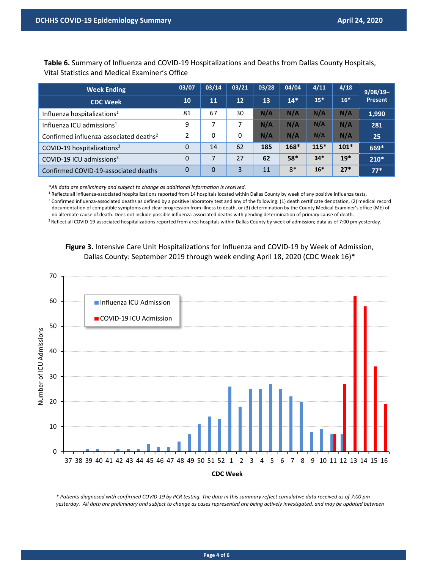**Table 6.** Summary of Influenza and COVID‐19 Hospitalizations and Deaths from Dallas County Hospitals, Vital Statistics and Medical Examiner's Office

| <b>Week Ending</b>                                 | 03/07          | 03/14    | 03/21    | 03/28 | 04/04 | 4/11   | 4/18   | $9/08/19-$ |
|----------------------------------------------------|----------------|----------|----------|-------|-------|--------|--------|------------|
| <b>CDC Week</b>                                    | <b>10</b>      | 11       | 12       | 13    | $14*$ | $15*$  | $16*$  | Present    |
| Influenza hospitalizations <sup>1</sup>            | 81             | 67       | 30       | N/A   | N/A   | N/A    | N/A    | 1,990      |
| Influenza ICU admissions <sup>1</sup>              | 9              | 7        | 7        | N/A   | N/A   | N/A    | N/A    | 281        |
| Confirmed influenza-associated deaths <sup>2</sup> | 2              | 0        | $\Omega$ | N/A   | N/A   | N/A    | N/A    | 25         |
| COVID-19 hospitalizations <sup>3</sup>             | 0              | 14       | 62       | 185   | 168*  | $115*$ | $101*$ | 669*       |
| COVID-19 ICU admissions <sup>3</sup>               | 0              |          | 27       | 62    | 58*   | $34*$  | $19*$  | $210*$     |
| Confirmed COVID-19-associated deaths               | $\overline{0}$ | $\Omega$ | 3        | 11    | $8*$  | $16*$  | $27*$  | $77*$      |

\**All data are preliminary and subject to change as additional information is received.* 

<sup>1</sup> Reflects all influenza-associated hospitalizations reported from 14 hospitals located within Dallas County by week of any positive influenza tests. 2 Confirmed influenza‐associated deaths as defined by a positive laboratory test and any of the following: (1) death certificate denotation, (2) medical record documentation of compatible symptoms and clear progression from illness to death, or (3) determination by the County Medical Examiner's office (ME) of no alternate cause of death. Does not include possible influenza‐associated deaths with pending determination of primary cause of death.

<sup>3</sup> Reflect all COVID-19-associated hospitalizations reported from area hospitals within Dallas County by week of admission; data as of 7:00 pm yesterday.

## Figure 3. Intensive Care Unit Hospitalizations for Influenza and COVID-19 by Week of Admission, Dallas County: September 2019 through week ending April 18, 2020 (CDC Week 16)\*



*\* Patients diagnosed with confirmed COVID‐19 by PCR testing. The data in this summary reflect cumulative data received as of 7:00 pm yesterday. All data are preliminary and subject to change as cases represented are being actively investigated, and may be updated between*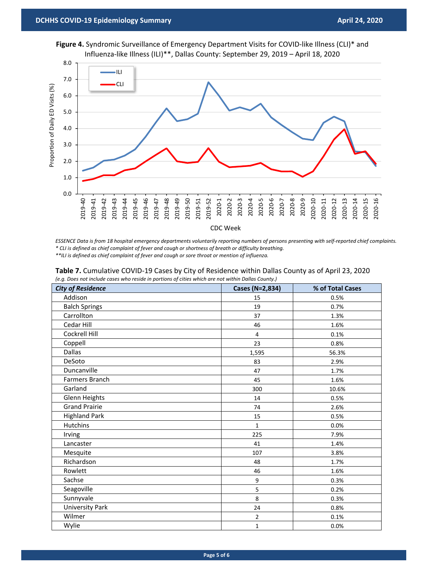

Figure 4. Syndromic Surveillance of Emergency Department Visits for COVID-like Illness (CLI)<sup>\*</sup> and Influenza‐like Illness (ILI)\*\*, Dallas County: September 29, 2019 – April 18, 2020

*ESSENCE Data is from 18 hospital emergency departments voluntarily reporting numbers of persons presenting with self‐reported chief complaints. \* CLI is defined as chief complaint of fever and cough or shortness of breath or difficulty breathing.* 

CDC Week

*\*\*ILI is defined as chief complaint of fever and cough or sore throat or mention of influenza.* 

| <b>City of Residence</b> | Cases (N=2,834) | % of Total Cases |
|--------------------------|-----------------|------------------|
| Addison                  | 15              | 0.5%             |
| <b>Balch Springs</b>     | 19              | 0.7%             |
| Carrollton               | 37              | 1.3%             |
| Cedar Hill               | 46              | 1.6%             |
| Cockrell Hill            | $\overline{4}$  | 0.1%             |
| Coppell                  | 23              | 0.8%             |
| <b>Dallas</b>            | 1,595           | 56.3%            |
| DeSoto                   | 83              | 2.9%             |
| Duncanville              | 47              | 1.7%             |
| Farmers Branch           | 45              | 1.6%             |
| Garland                  | 300             | 10.6%            |
| Glenn Heights            | 14              | 0.5%             |
| <b>Grand Prairie</b>     | 74              | 2.6%             |
| <b>Highland Park</b>     | 15              | 0.5%             |
| <b>Hutchins</b>          | $\mathbf{1}$    | 0.0%             |
| Irving                   | 225             | 7.9%             |
| Lancaster                | 41              | 1.4%             |
| Mesquite                 | 107             | 3.8%             |
| Richardson               | 48              | 1.7%             |
| Rowlett                  | 46              | 1.6%             |
| Sachse                   | 9               | 0.3%             |
| Seagoville               | 5               | 0.2%             |
| Sunnyvale                | 8               | 0.3%             |
| <b>University Park</b>   | 24              | 0.8%             |
| Wilmer                   | $\overline{2}$  | 0.1%             |
| Wylie                    | $\mathbf 1$     | 0.0%             |

|  | Table 7. Cumulative COVID-19 Cases by City of Residence within Dallas County as of April 23, 2020 |  |  |  |  |  |  |  |  |
|--|---------------------------------------------------------------------------------------------------|--|--|--|--|--|--|--|--|
|  |                                                                                                   |  |  |  |  |  |  |  |  |